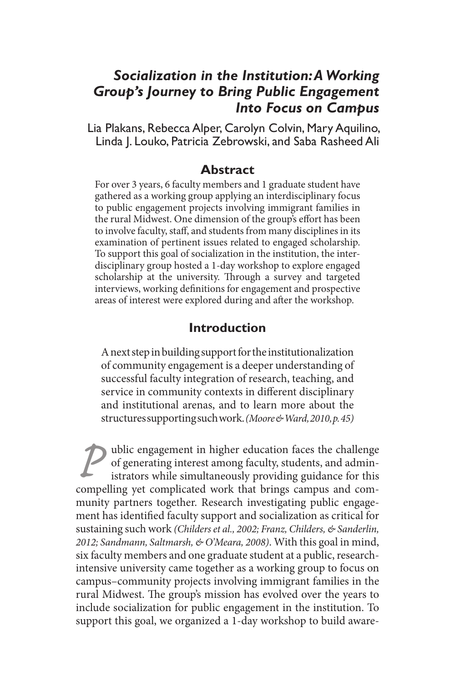# *Socialization in the Institution: A Working Group's Journey to Bring Public Engagement Into Focus on Campus*

Lia Plakans, Rebecca Alper, Carolyn Colvin, Mary Aquilino, Linda J. Louko, Patricia Zebrowski, and Saba Rasheed Ali

#### **Abstract**

For over 3 years, 6 faculty members and 1 graduate student have gathered as a working group applying an interdisciplinary focus to public engagement projects involving immigrant families in the rural Midwest. One dimension of the group's effort has been to involve faculty, staff, and students from many disciplines in its examination of pertinent issues related to engaged scholarship. To support this goal of socialization in the institution, the interdisciplinary group hosted a 1-day workshop to explore engaged scholarship at the university. Through a survey and targeted interviews, working definitions for engagement and prospective areas of interest were explored during and after the workshop.

## **Introduction**

A next step in building support for the institutionalization of community engagement is a deeper understanding of successful faculty integration of research, teaching, and service in community contexts in different disciplinary and institutional arenas, and to learn more about the structures supporting such work. *(Moore & Ward, 2010, p. 45)*

**P** ublic engagement in higher education faces the challenge of generating interest among faculty, students, and administrators while simultaneously providing guidance for this compelling yet complicated work that brings c of generating interest among faculty, students, and administrators while simultaneously providing guidance for this compelling yet complicated work that brings campus and community partners together. Research investigating public engagement has identified faculty support and socialization as critical for sustaining such work *(Childers et al., 2002; Franz, Childers, & Sanderlin, 2012; Sandmann, Saltmarsh, & O'Meara, 2008)*. With this goal in mind, six faculty members and one graduate student at a public, researchintensive university came together as a working group to focus on campus–community projects involving immigrant families in the rural Midwest. The group's mission has evolved over the years to include socialization for public engagement in the institution. To support this goal, we organized a 1-day workshop to build aware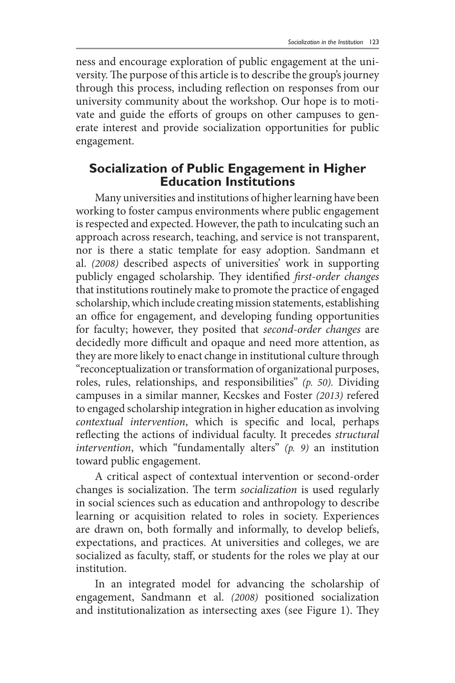ness and encourage exploration of public engagement at the university. The purpose of this article is to describe the group's journey through this process, including reflection on responses from our university community about the workshop. Our hope is to motivate and guide the efforts of groups on other campuses to generate interest and provide socialization opportunities for public engagement.

#### **Socialization of Public Engagement in Higher Education Institutions**

Many universities and institutions of higher learning have been working to foster campus environments where public engagement is respected and expected. However, the path to inculcating such an approach across research, teaching, and service is not transparent, nor is there a static template for easy adoption. Sandmann et al. *(2008)* described aspects of universities' work in supporting publicly engaged scholarship. They identified *first-order changes*  that institutions routinely make to promote the practice of engaged scholarship, which include creating mission statements, establishing an office for engagement, and developing funding opportunities for faculty; however, they posited that *second-order changes* are decidedly more difficult and opaque and need more attention, as they are more likely to enact change in institutional culture through "reconceptualization or transformation of organizational purposes, roles, rules, relationships, and responsibilities" *(p. 50).* Dividing campuses in a similar manner, Kecskes and Foster *(2013)* refered to engaged scholarship integration in higher education as involving *contextual intervention*, which is specific and local, perhaps reflecting the actions of individual faculty. It precedes *structural intervention*, which "fundamentally alters" *(p. 9)* an institution toward public engagement.

A critical aspect of contextual intervention or second-order changes is socialization. The term *socialization* is used regularly in social sciences such as education and anthropology to describe learning or acquisition related to roles in society. Experiences are drawn on, both formally and informally, to develop beliefs, expectations, and practices. At universities and colleges, we are socialized as faculty, staff, or students for the roles we play at our institution.

In an integrated model for advancing the scholarship of engagement, Sandmann et al. *(2008)* positioned socialization and institutionalization as intersecting axes (see Figure 1). They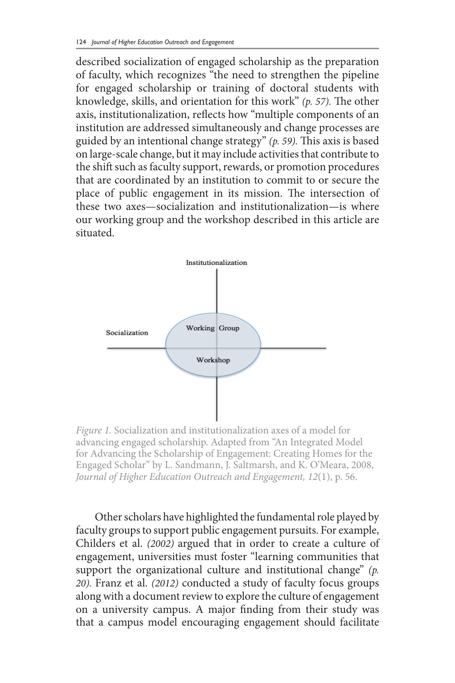described socialization of engaged scholarship as the preparation of faculty, which recognizes "the need to strengthen the pipeline for engaged scholarship or training of doctoral students with knowledge, skills, and orientation for this work" *(p. 57).* The other axis, institutionalization, reflects how "multiple components of an institution are addressed simultaneously and change processes are guided by an intentional change strategy" *(p. 59).* This axis is based on large-scale change, but it may include activities that contribute to the shift such as faculty support, rewards, or promotion procedures that are coordinated by an institution to commit to or secure the place of public engagement in its mission. The intersection of these two axes—socialization and institutionalization—is where our working group and the workshop described in this article are situated.



*Figure 1.* Socialization and institutionalization axes of a model for advancing engaged scholarship. Adapted from "An Integrated Model for Advancing the Scholarship of Engagement: Creating Homes for the Engaged Scholar" by L. Sandmann, J. Saltmarsh, and K. O'Meara, 2008, *Journal of Higher Education Outreach and Engagement, 12*(1), p. 56.

Other scholars have highlighted the fundamental role played by faculty groups to support public engagement pursuits. For example, Childers et al. *(2002)* argued that in order to create a culture of engagement, universities must foster "learning communities that support the organizational culture and institutional change" *(p. 20).* Franz et al. *(2012)* conducted a study of faculty focus groups along with a document review to explore the culture of engagement on a university campus. A major finding from their study was that a campus model encouraging engagement should facilitate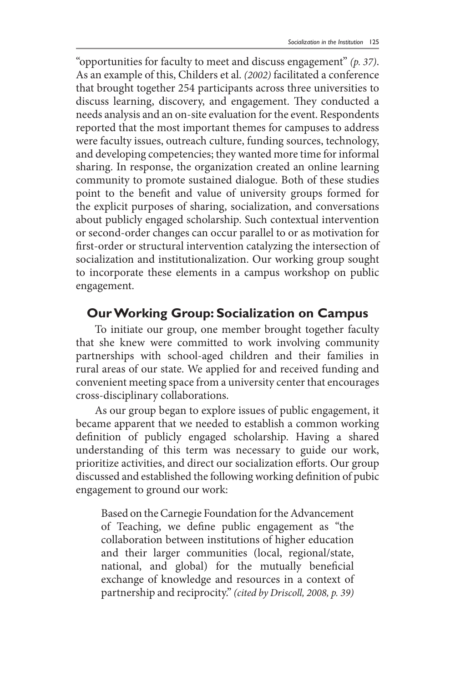"opportunities for faculty to meet and discuss engagement" *(p. 37)*. As an example of this, Childers et al. *(2002)* facilitated a conference that brought together 254 participants across three universities to discuss learning, discovery, and engagement. They conducted a needs analysis and an on-site evaluation for the event. Respondents reported that the most important themes for campuses to address were faculty issues, outreach culture, funding sources, technology, and developing competencies; they wanted more time for informal sharing. In response, the organization created an online learning community to promote sustained dialogue. Both of these studies point to the benefit and value of university groups formed for the explicit purposes of sharing, socialization, and conversations about publicly engaged scholarship. Such contextual intervention or second-order changes can occur parallel to or as motivation for first-order or structural intervention catalyzing the intersection of socialization and institutionalization. Our working group sought to incorporate these elements in a campus workshop on public engagement.

## **Our Working Group: Socialization on Campus**

To initiate our group, one member brought together faculty that she knew were committed to work involving community partnerships with school-aged children and their families in rural areas of our state. We applied for and received funding and convenient meeting space from a university center that encourages cross-disciplinary collaborations.

As our group began to explore issues of public engagement, it became apparent that we needed to establish a common working definition of publicly engaged scholarship. Having a shared understanding of this term was necessary to guide our work, prioritize activities, and direct our socialization efforts. Our group discussed and established the following working definition of pubic engagement to ground our work:

Based on the Carnegie Foundation for the Advancement of Teaching, we define public engagement as "the collaboration between institutions of higher education and their larger communities (local, regional/state, national, and global) for the mutually beneficial exchange of knowledge and resources in a context of partnership and reciprocity." *(cited by Driscoll, 2008, p. 39)*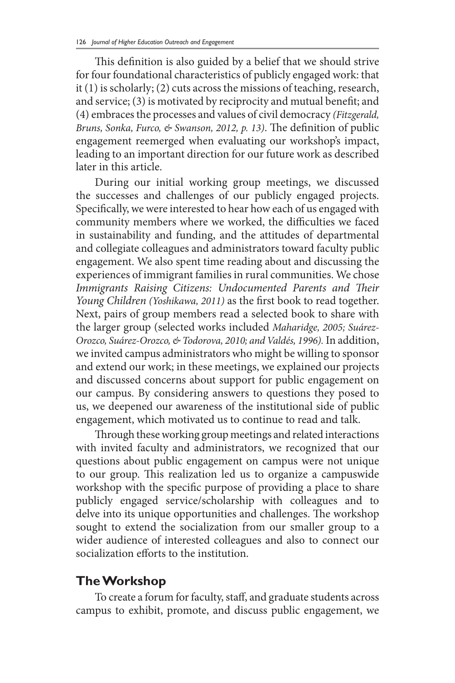This definition is also guided by a belief that we should strive for four foundational characteristics of publicly engaged work: that it (1) is scholarly; (2) cuts across the missions of teaching, research, and service; (3) is motivated by reciprocity and mutual benefit; and (4) embraces the processes and values of civil democracy *(Fitzgerald, Bruns, Sonka, Furco, & Swanson, 2012, p. 13)*. The definition of public engagement reemerged when evaluating our workshop's impact, leading to an important direction for our future work as described later in this article.

During our initial working group meetings, we discussed the successes and challenges of our publicly engaged projects. Specifically, we were interested to hear how each of us engaged with community members where we worked, the difficulties we faced in sustainability and funding, and the attitudes of departmental and collegiate colleagues and administrators toward faculty public engagement. We also spent time reading about and discussing the experiences of immigrant families in rural communities. We chose *Immigrants Raising Citizens: Undocumented Parents and Their Young Children (Yoshikawa, 2011)* as the first book to read together. Next, pairs of group members read a selected book to share with the larger group (selected works included *Maharidge, 2005; Suárez-Orozco, Suárez-Orozco, & Todorova, 2010; and Valdés, 1996).* In addition, we invited campus administrators who might be willing to sponsor and extend our work; in these meetings, we explained our projects and discussed concerns about support for public engagement on our campus. By considering answers to questions they posed to us, we deepened our awareness of the institutional side of public engagement, which motivated us to continue to read and talk.

Through these working group meetings and related interactions with invited faculty and administrators, we recognized that our questions about public engagement on campus were not unique to our group. This realization led us to organize a campuswide workshop with the specific purpose of providing a place to share publicly engaged service/scholarship with colleagues and to delve into its unique opportunities and challenges. The workshop sought to extend the socialization from our smaller group to a wider audience of interested colleagues and also to connect our socialization efforts to the institution.

#### **The Workshop**

To create a forum for faculty, staff, and graduate students across campus to exhibit, promote, and discuss public engagement, we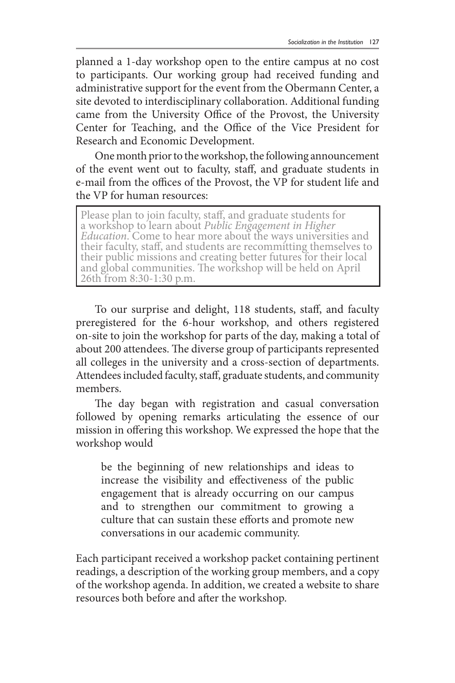planned a 1-day workshop open to the entire campus at no cost to participants. Our working group had received funding and administrative support for the event from the Obermann Center, a site devoted to interdisciplinary collaboration. Additional funding came from the University Office of the Provost, the University Center for Teaching, and the Office of the Vice President for Research and Economic Development.

One month prior to the workshop, the following announcement of the event went out to faculty, staff, and graduate students in e-mail from the offices of the Provost, the VP for student life and the VP for human resources:

Please plan to join faculty, staff, and graduate students for<br>a workshop to learn about Public Engagement in Higher Education. Come to hear more about the ways universities and their faculty, staff, and students are recommitting themselves to their public missions and creating better futures for their local and global communities. The workshop will be held on April 26th from 8:30-1:30 p.m.

To our surprise and delight, 118 students, staff, and faculty preregistered for the 6-hour workshop, and others registered on-site to join the workshop for parts of the day, making a total of about 200 attendees. The diverse group of participants represented all colleges in the university and a cross-section of departments. Attendees included faculty, staff, graduate students, and community members.

The day began with registration and casual conversation followed by opening remarks articulating the essence of our mission in offering this workshop. We expressed the hope that the workshop would

be the beginning of new relationships and ideas to increase the visibility and effectiveness of the public engagement that is already occurring on our campus and to strengthen our commitment to growing a culture that can sustain these efforts and promote new conversations in our academic community.

Each participant received a workshop packet containing pertinent readings, a description of the working group members, and a copy of the workshop agenda. In addition, we created a website to share resources both before and after the workshop.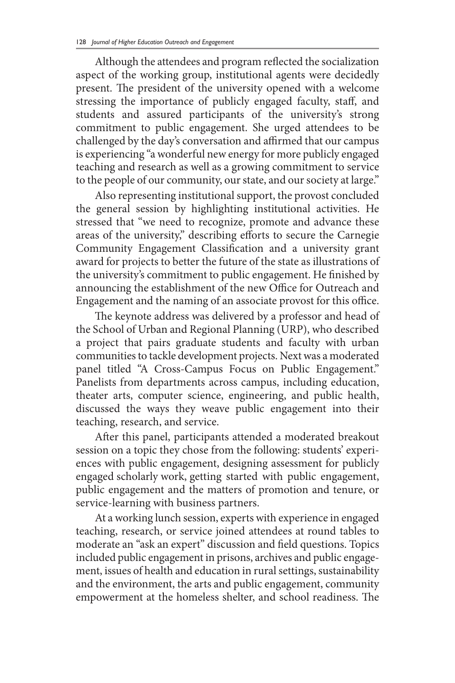Although the attendees and program reflected the socialization aspect of the working group, institutional agents were decidedly present. The president of the university opened with a welcome stressing the importance of publicly engaged faculty, staff, and students and assured participants of the university's strong commitment to public engagement. She urged attendees to be challenged by the day's conversation and affirmed that our campus is experiencing "a wonderful new energy for more publicly engaged teaching and research as well as a growing commitment to service to the people of our community, our state, and our society at large."

Also representing institutional support, the provost concluded the general session by highlighting institutional activities. He stressed that "we need to recognize, promote and advance these areas of the university," describing efforts to secure the Carnegie Community Engagement Classification and a university grant award for projects to better the future of the state as illustrations of the university's commitment to public engagement. He finished by announcing the establishment of the new Office for Outreach and Engagement and the naming of an associate provost for this office.

The keynote address was delivered by a professor and head of the School of Urban and Regional Planning (URP), who described a project that pairs graduate students and faculty with urban communities to tackle development projects. Next was a moderated panel titled "A Cross-Campus Focus on Public Engagement." Panelists from departments across campus, including education, theater arts, computer science, engineering, and public health, discussed the ways they weave public engagement into their teaching, research, and service.

After this panel, participants attended a moderated breakout session on a topic they chose from the following: students' experiences with public engagement, designing assessment for publicly engaged scholarly work, getting started with public engagement, public engagement and the matters of promotion and tenure, or service-learning with business partners.

At a working lunch session, experts with experience in engaged teaching, research, or service joined attendees at round tables to moderate an "ask an expert" discussion and field questions. Topics included public engagement in prisons, archives and public engagement, issues of health and education in rural settings, sustainability and the environment, the arts and public engagement, community empowerment at the homeless shelter, and school readiness. The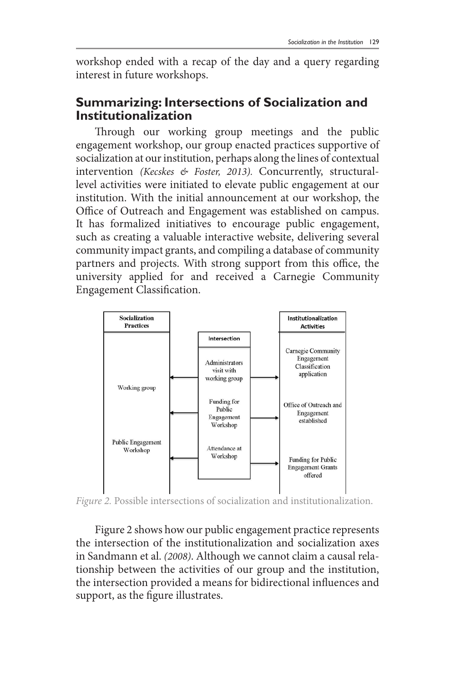workshop ended with a recap of the day and a query regarding interest in future workshops.

## **Summarizing: Intersections of Socialization and Institutionalization**

Through our working group meetings and the public engagement workshop, our group enacted practices supportive of socialization at our institution, perhaps along the lines of contextual intervention *(Kecskes & Foster, 2013).* Concurrently, structurallevel activities were initiated to elevate public engagement at our institution. With the initial announcement at our workshop, the Office of Outreach and Engagement was established on campus. It has formalized initiatives to encourage public engagement, such as creating a valuable interactive website, delivering several community impact grants, and compiling a database of community partners and projects. With strong support from this office, the university applied for and received a Carnegie Community Engagement Classification.



*Figure 2.* Possible intersections of socialization and institutionalization.

Figure 2 shows how our public engagement practice represents the intersection of the institutionalization and socialization axes in Sandmann et al. *(2008)*. Although we cannot claim a causal relationship between the activities of our group and the institution, the intersection provided a means for bidirectional influences and support, as the figure illustrates.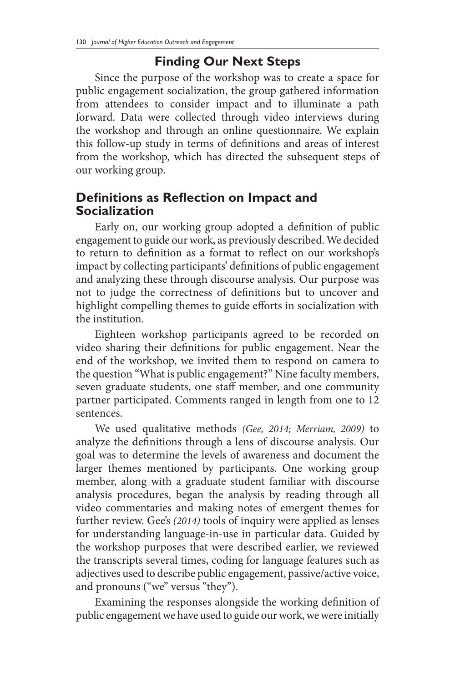## **Finding Our Next Steps**

Since the purpose of the workshop was to create a space for public engagement socialization, the group gathered information from attendees to consider impact and to illuminate a path forward. Data were collected through video interviews during the workshop and through an online questionnaire. We explain this follow-up study in terms of definitions and areas of interest from the workshop, which has directed the subsequent steps of our working group.

## **Definitions as Reflection on Impact and Socialization**

Early on, our working group adopted a definition of public engagement to guide our work, as previously described. We decided to return to definition as a format to reflect on our workshop's impact by collecting participants' definitions of public engagement and analyzing these through discourse analysis. Our purpose was not to judge the correctness of definitions but to uncover and highlight compelling themes to guide efforts in socialization with the institution.

Eighteen workshop participants agreed to be recorded on video sharing their definitions for public engagement. Near the end of the workshop, we invited them to respond on camera to the question "What is public engagement?" Nine faculty members, seven graduate students, one staff member, and one community partner participated. Comments ranged in length from one to 12 sentences.

We used qualitative methods *(Gee, 2014; Merriam, 2009)* to analyze the definitions through a lens of discourse analysis. Our goal was to determine the levels of awareness and document the larger themes mentioned by participants. One working group member, along with a graduate student familiar with discourse analysis procedures, began the analysis by reading through all video commentaries and making notes of emergent themes for further review. Gee's *(2014)* tools of inquiry were applied as lenses for understanding language-in-use in particular data. Guided by the workshop purposes that were described earlier, we reviewed the transcripts several times, coding for language features such as adjectives used to describe public engagement, passive/active voice, and pronouns ("we" versus "they").

Examining the responses alongside the working definition of public engagement we have used to guide our work, we were initially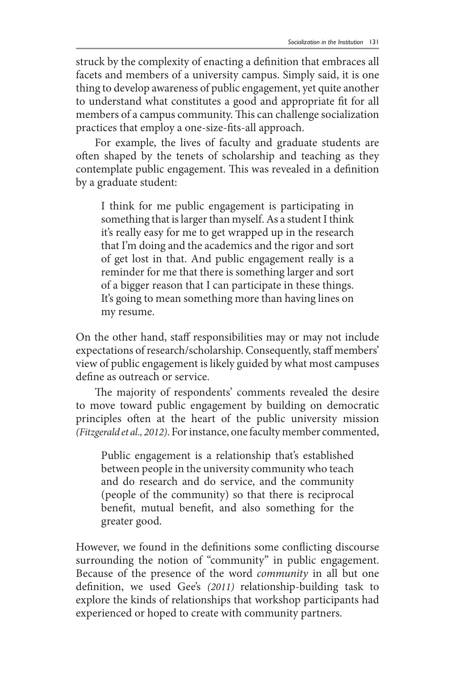struck by the complexity of enacting a definition that embraces all facets and members of a university campus. Simply said, it is one thing to develop awareness of public engagement, yet quite another to understand what constitutes a good and appropriate fit for all members of a campus community. This can challenge socialization practices that employ a one-size-fits-all approach.

For example, the lives of faculty and graduate students are often shaped by the tenets of scholarship and teaching as they contemplate public engagement. This was revealed in a definition by a graduate student:

I think for me public engagement is participating in something that is larger than myself. As a student I think it's really easy for me to get wrapped up in the research that I'm doing and the academics and the rigor and sort of get lost in that. And public engagement really is a reminder for me that there is something larger and sort of a bigger reason that I can participate in these things. It's going to mean something more than having lines on my resume.

On the other hand, staff responsibilities may or may not include expectations of research/scholarship. Consequently, staff members' view of public engagement is likely guided by what most campuses define as outreach or service.

The majority of respondents' comments revealed the desire to move toward public engagement by building on democratic principles often at the heart of the public university mission *(Fitzgerald et al., 2012)*. For instance, one faculty member commented,

Public engagement is a relationship that's established between people in the university community who teach and do research and do service, and the community (people of the community) so that there is reciprocal benefit, mutual benefit, and also something for the greater good.

However, we found in the definitions some conflicting discourse surrounding the notion of "community" in public engagement. Because of the presence of the word *community* in all but one definition, we used Gee's *(2011)* relationship-building task to explore the kinds of relationships that workshop participants had experienced or hoped to create with community partners.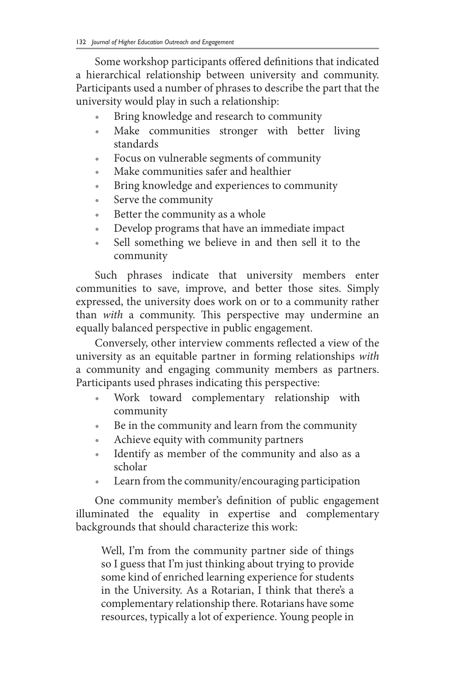Some workshop participants offered definitions that indicated a hierarchical relationship between university and community. Participants used a number of phrases to describe the part that the university would play in such a relationship:

- Bring knowledge and research to community
- Make communities stronger with better living standards
- Focus on vulnerable segments of community
- Make communities safer and healthier
- Bring knowledge and experiences to community
- Serve the community
- Better the community as a whole
- Develop programs that have an immediate impact
- Sell something we believe in and then sell it to the community

Such phrases indicate that university members enter communities to save, improve, and better those sites. Simply expressed, the university does work on or to a community rather than *with* a community. This perspective may undermine an equally balanced perspective in public engagement.

Conversely, other interview comments reflected a view of the university as an equitable partner in forming relationships *with* a community and engaging community members as partners. Participants used phrases indicating this perspective:

- Work toward complementary relationship with community
- Be in the community and learn from the community
- Achieve equity with community partners
- Identify as member of the community and also as a scholar
- Learn from the community/encouraging participation

One community member's definition of public engagement illuminated the equality in expertise and complementary backgrounds that should characterize this work:

Well, I'm from the community partner side of things so I guess that I'm just thinking about trying to provide some kind of enriched learning experience for students in the University. As a Rotarian, I think that there's a complementary relationship there. Rotarians have some resources, typically a lot of experience. Young people in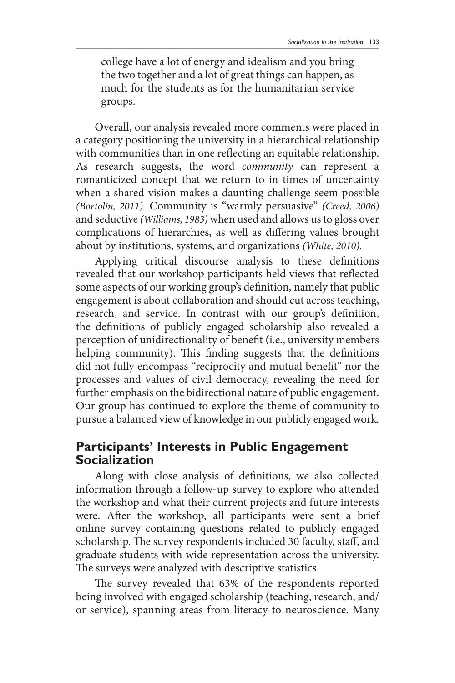college have a lot of energy and idealism and you bring the two together and a lot of great things can happen, as much for the students as for the humanitarian service groups.

Overall, our analysis revealed more comments were placed in a category positioning the university in a hierarchical relationship with communities than in one reflecting an equitable relationship. As research suggests, the word *community* can represent a romanticized concept that we return to in times of uncertainty when a shared vision makes a daunting challenge seem possible *(Bortolin, 2011).* Community is "warmly persuasive" *(Creed, 2006)* and seductive *(Williams, 1983)* when used and allows us to gloss over complications of hierarchies, as well as differing values brought about by institutions, systems, and organizations *(White, 2010).*

Applying critical discourse analysis to these definitions revealed that our workshop participants held views that reflected some aspects of our working group's definition, namely that public engagement is about collaboration and should cut across teaching, research, and service. In contrast with our group's definition, the definitions of publicly engaged scholarship also revealed a perception of unidirectionality of benefit (i.e., university members helping community). This finding suggests that the definitions did not fully encompass "reciprocity and mutual benefit" nor the processes and values of civil democracy, revealing the need for further emphasis on the bidirectional nature of public engagement. Our group has continued to explore the theme of community to pursue a balanced view of knowledge in our publicly engaged work.

## **Participants' Interests in Public Engagement Socialization**

Along with close analysis of definitions, we also collected information through a follow-up survey to explore who attended the workshop and what their current projects and future interests were. After the workshop, all participants were sent a brief online survey containing questions related to publicly engaged scholarship. The survey respondents included 30 faculty, staff, and graduate students with wide representation across the university. The surveys were analyzed with descriptive statistics.

The survey revealed that 63% of the respondents reported being involved with engaged scholarship (teaching, research, and/ or service), spanning areas from literacy to neuroscience. Many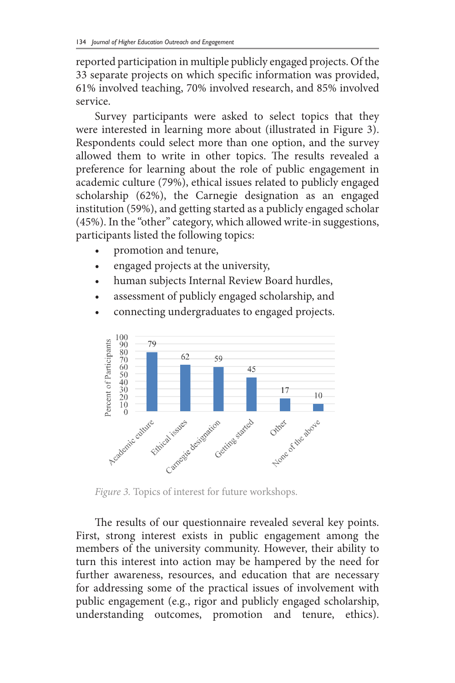reported participation in multiple publicly engaged projects. Of the 33 separate projects on which specific information was provided, 61% involved teaching, 70% involved research, and 85% involved service.

Survey participants were asked to select topics that they were interested in learning more about (illustrated in Figure 3). Respondents could select more than one option, and the survey allowed them to write in other topics. The results revealed a preference for learning about the role of public engagement in academic culture (79%), ethical issues related to publicly engaged scholarship (62%), the Carnegie designation as an engaged institution (59%), and getting started as a publicly engaged scholar (45%). In the "other" category, which allowed write-in suggestions, participants listed the following topics:

- promotion and tenure,
- engaged projects at the university,
- human subjects Internal Review Board hurdles,
- assessment of publicly engaged scholarship, and



• connecting undergraduates to engaged projects.

*Figure 3.* Topics of interest for future workshops.

The results of our questionnaire revealed several key points. First, strong interest exists in public engagement among the members of the university community. However, their ability to turn this interest into action may be hampered by the need for further awareness, resources, and education that are necessary for addressing some of the practical issues of involvement with public engagement (e.g., rigor and publicly engaged scholarship, understanding outcomes, promotion and tenure, ethics).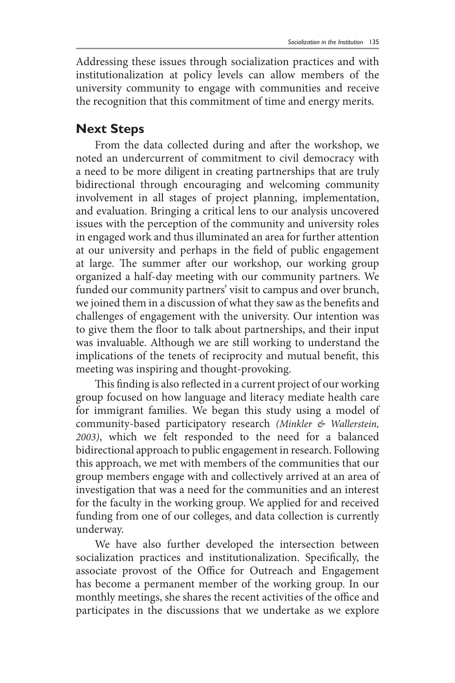Addressing these issues through socialization practices and with institutionalization at policy levels can allow members of the university community to engage with communities and receive the recognition that this commitment of time and energy merits.

## **Next Steps**

From the data collected during and after the workshop, we noted an undercurrent of commitment to civil democracy with a need to be more diligent in creating partnerships that are truly bidirectional through encouraging and welcoming community involvement in all stages of project planning, implementation, and evaluation. Bringing a critical lens to our analysis uncovered issues with the perception of the community and university roles in engaged work and thus illuminated an area for further attention at our university and perhaps in the field of public engagement at large. The summer after our workshop, our working group organized a half-day meeting with our community partners. We funded our community partners' visit to campus and over brunch, we joined them in a discussion of what they saw as the benefits and challenges of engagement with the university. Our intention was to give them the floor to talk about partnerships, and their input was invaluable. Although we are still working to understand the implications of the tenets of reciprocity and mutual benefit, this meeting was inspiring and thought-provoking.

This finding is also reflected in a current project of our working group focused on how language and literacy mediate health care for immigrant families. We began this study using a model of community-based participatory research *(Minkler & Wallerstein, 2003)*, which we felt responded to the need for a balanced bidirectional approach to public engagement in research. Following this approach, we met with members of the communities that our group members engage with and collectively arrived at an area of investigation that was a need for the communities and an interest for the faculty in the working group. We applied for and received funding from one of our colleges, and data collection is currently underway.

We have also further developed the intersection between socialization practices and institutionalization. Specifically, the associate provost of the Office for Outreach and Engagement has become a permanent member of the working group. In our monthly meetings, she shares the recent activities of the office and participates in the discussions that we undertake as we explore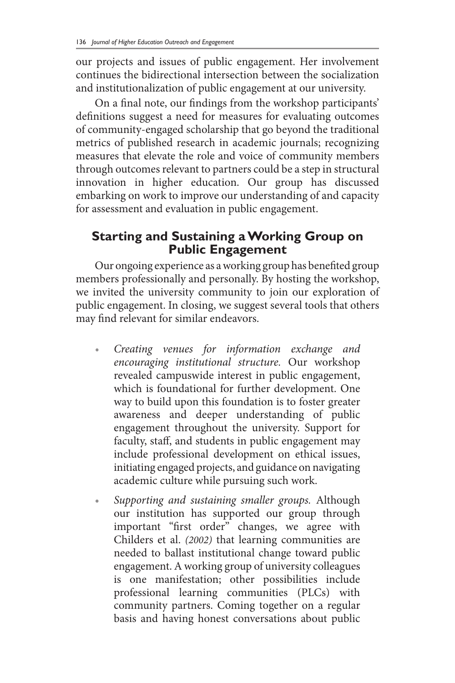our projects and issues of public engagement. Her involvement continues the bidirectional intersection between the socialization and institutionalization of public engagement at our university.

On a final note, our findings from the workshop participants' definitions suggest a need for measures for evaluating outcomes of community-engaged scholarship that go beyond the traditional metrics of published research in academic journals; recognizing measures that elevate the role and voice of community members through outcomes relevant to partners could be a step in structural innovation in higher education. Our group has discussed embarking on work to improve our understanding of and capacity for assessment and evaluation in public engagement.

#### **Starting and Sustaining a Working Group on Public Engagement**

Our ongoing experience as a working group has benefited group members professionally and personally. By hosting the workshop, we invited the university community to join our exploration of public engagement. In closing, we suggest several tools that others may find relevant for similar endeavors.

- *• Creating venues for information exchange and encouraging institutional structure.* Our workshop revealed campuswide interest in public engagement, which is foundational for further development. One way to build upon this foundation is to foster greater awareness and deeper understanding of public engagement throughout the university. Support for faculty, staff, and students in public engagement may include professional development on ethical issues, initiating engaged projects, and guidance on navigating academic culture while pursuing such work.
- *Supporting and sustaining smaller groups.* Although our institution has supported our group through important "first order" changes, we agree with Childers et al. *(2002)* that learning communities are needed to ballast institutional change toward public engagement. A working group of university colleagues is one manifestation; other possibilities include professional learning communities (PLCs) with community partners. Coming together on a regular basis and having honest conversations about public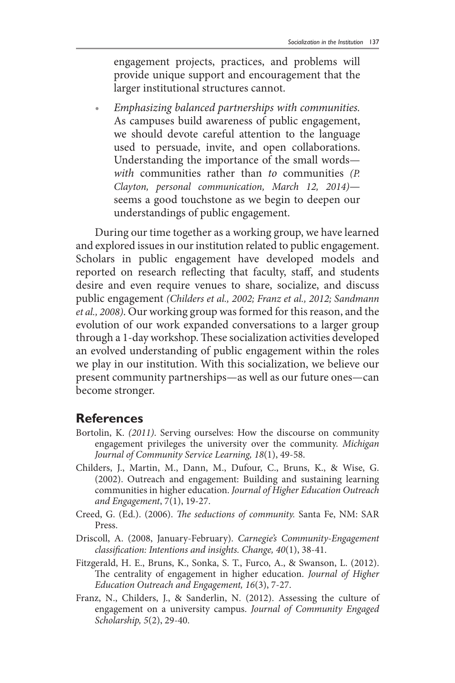engagement projects, practices, and problems will provide unique support and encouragement that the larger institutional structures cannot.

*• Emphasizing balanced partnerships with communities.*  As campuses build awareness of public engagement, we should devote careful attention to the language used to persuade, invite, and open collaborations. Understanding the importance of the small words *with* communities rather than *to* communities *(P. Clayton, personal communication, March 12, 2014)* seems a good touchstone as we begin to deepen our understandings of public engagement.

During our time together as a working group, we have learned and explored issues in our institution related to public engagement. Scholars in public engagement have developed models and reported on research reflecting that faculty, staff, and students desire and even require venues to share, socialize, and discuss public engagement *(Childers et al., 2002; Franz et al., 2012; Sandmann et al., 2008)*. Our working group was formed for this reason, and the evolution of our work expanded conversations to a larger group through a 1-day workshop. These socialization activities developed an evolved understanding of public engagement within the roles we play in our institution. With this socialization, we believe our present community partnerships—as well as our future ones—can become stronger.

#### **References**

- Bortolin, K. *(2011)*. Serving ourselves: How the discourse on community engagement privileges the university over the community. *Michigan Journal of Community Service Learning, 18*(1), 49-58.
- Childers, J., Martin, M., Dann, M., Dufour, C., Bruns, K., & Wise, G. (2002). Outreach and engagement: Building and sustaining learning communities in higher education. *Journal of Higher Education Outreach and Engagement*, 7(1), 19-27.
- Creed, G. (Ed.). (2006). *The seductions of community.* Santa Fe, NM: SAR Press.
- Driscoll, A. (2008, January-February). *Carnegie's Community-Engagement classification: Intentions and insights. Change, 40*(1), 38-41.
- Fitzgerald, H. E., Bruns, K., Sonka, S. T., Furco, A., & Swanson, L. (2012). The centrality of engagement in higher education. *Journal of Higher Education Outreach and Engagement, 16*(3), 7-27.
- Franz, N., Childers, J., & Sanderlin, N. (2012). Assessing the culture of engagement on a university campus. *Journal of Community Engaged Scholarship, 5*(2), 29-40.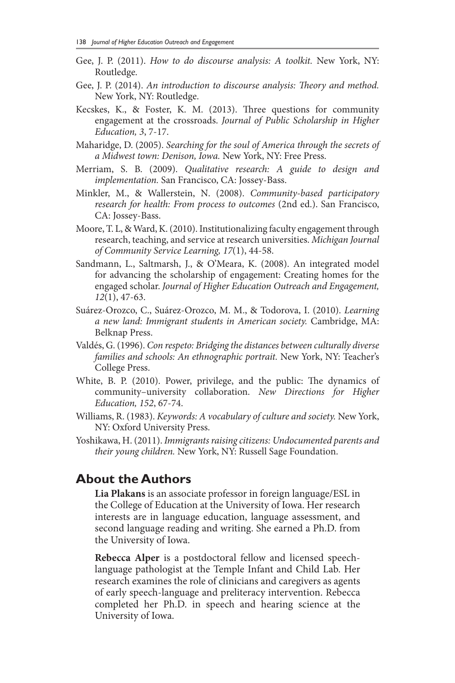- Gee, J. P. (2011). *How to do discourse analysis: A toolkit.* New York, NY: Routledge.
- Gee, J. P. (2014). *An introduction to discourse analysis: Theory and method.* New York, NY: Routledge.
- Kecskes, K., & Foster, K. M. (2013). Three questions for community engagement at the crossroads. *Journal of Public Scholarship in Higher Education, 3*, 7-17.
- Maharidge, D. (2005). *Searching for the soul of America through the secrets of a Midwest town: Denison, Iowa.* New York, NY: Free Press.
- Merriam, S. B. (2009). *Qualitative research: A guide to design and implementation.* San Francisco, CA: Jossey-Bass.
- Minkler, M., & Wallerstein, N. (2008). *Community-based participatory research for health: From process to outcomes* (2nd ed.). San Francisco, CA: Jossey-Bass.
- Moore, T. L, & Ward, K. (2010). Institutionalizing faculty engagement through research, teaching, and service at research universities. *Michigan Journal of Community Service Learning, 17*(1), 44-58.
- Sandmann, L., Saltmarsh, J., & O'Meara, K. (2008). An integrated model for advancing the scholarship of engagement: Creating homes for the engaged scholar. *Journal of Higher Education Outreach and Engagement, 12*(1), 47-63.
- Suárez-Orozco, C., Suárez-Orozco, M. M., & Todorova, I. (2010). *Learning a new land: Immigrant students in American society.* Cambridge, MA: Belknap Press.
- Valdés, G. (1996). *Con respeto: Bridging the distances between culturally diverse families and schools: An ethnographic portrait.* New York, NY: Teacher's College Press.
- White, B. P. (2010). Power, privilege, and the public: The dynamics of community–university collaboration. *New Directions for Higher Education, 152*, 67-74.
- Williams, R. (1983). *Keywords: A vocabulary of culture and society.* New York, NY: Oxford University Press.
- Yoshikawa, H. (2011). *Immigrants raising citizens: Undocumented parents and their young children.* New York, NY: Russell Sage Foundation.

#### **About the Authors**

**Lia Plakans** is an associate professor in foreign language/ESL in the College of Education at the University of Iowa. Her research interests are in language education, language assessment, and second language reading and writing. She earned a Ph.D. from the University of Iowa.

**Rebecca Alper** is a postdoctoral fellow and licensed speechlanguage pathologist at the Temple Infant and Child Lab. Her research examines the role of clinicians and caregivers as agents of early speech-language and preliteracy intervention. Rebecca completed her Ph.D. in speech and hearing science at the University of Iowa.